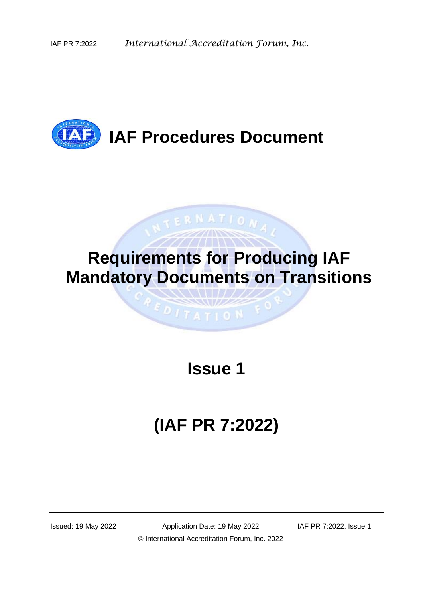

# **Requirements for Producing IAF Mandatory Documents on Transitions**

NTERNATIONA,

# **Issue 1**

 $917AT10N$ 

# **(IAF PR 7:2022)**

Issued: 19 May 2022 Application Date: 19 May 2022 IAF PR 7:2022, Issue 1 © International Accreditation Forum, Inc. 2022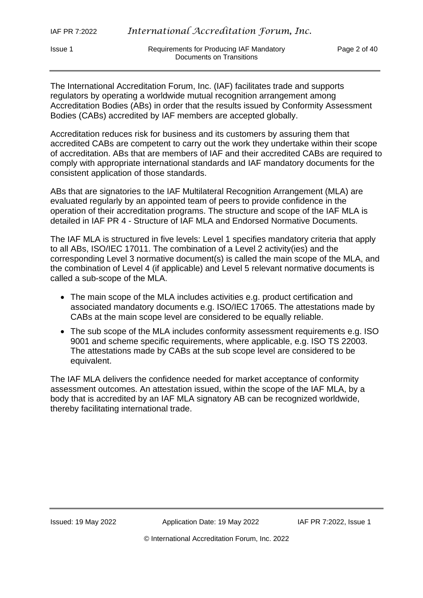Issue 1 Requirements for Producing IAF Mandatory Page 2 of 40 Documents on Transitions

The International Accreditation Forum, Inc. (IAF) facilitates trade and supports regulators by operating a worldwide mutual recognition arrangement among Accreditation Bodies (ABs) in order that the results issued by Conformity Assessment Bodies (CABs) accredited by IAF members are accepted globally.

Accreditation reduces risk for business and its customers by assuring them that accredited CABs are competent to carry out the work they undertake within their scope of accreditation. ABs that are members of IAF and their accredited CABs are required to comply with appropriate international standards and IAF mandatory documents for the consistent application of those standards.

ABs that are signatories to the IAF Multilateral Recognition Arrangement (MLA) are evaluated regularly by an appointed team of peers to provide confidence in the operation of their accreditation programs. The structure and scope of the IAF MLA is detailed in IAF PR 4 - Structure of IAF MLA and Endorsed Normative Documents.

The IAF MLA is structured in five levels: Level 1 specifies mandatory criteria that apply to all ABs, ISO/IEC 17011. The combination of a Level 2 activity(ies) and the corresponding Level 3 normative document(s) is called the main scope of the MLA, and the combination of Level 4 (if applicable) and Level 5 relevant normative documents is called a sub-scope of the MLA.

- The main scope of the MLA includes activities e.g. product certification and associated mandatory documents e.g. ISO/IEC 17065. The attestations made by CABs at the main scope level are considered to be equally reliable.
- The sub scope of the MLA includes conformity assessment requirements e.g. ISO 9001 and scheme specific requirements, where applicable, e.g. ISO TS 22003. The attestations made by CABs at the sub scope level are considered to be equivalent.

The IAF MLA delivers the confidence needed for market acceptance of conformity assessment outcomes. An attestation issued, within the scope of the IAF MLA, by a body that is accredited by an IAF MLA signatory AB can be recognized worldwide, thereby facilitating international trade.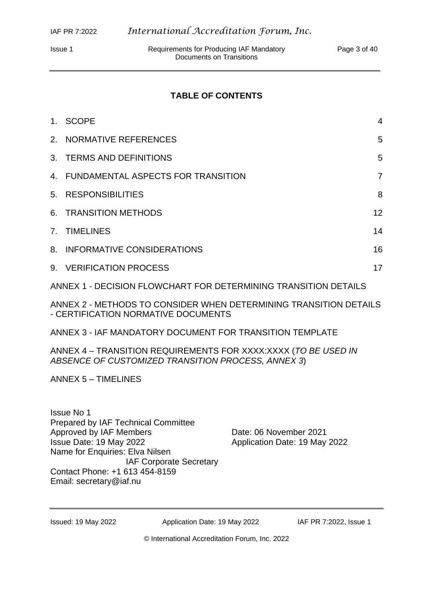#### **TABLE OF CONTENTS**

| $1_{-}$ | <b>SCOPE</b>                                                    | 4              |
|---------|-----------------------------------------------------------------|----------------|
|         | 2. NORMATIVE REFERENCES                                         | 5              |
|         | 3. TERMS AND DEFINITIONS                                        | 5              |
|         | 4. FUNDAMENTAL ASPECTS FOR TRANSITION                           | $\overline{7}$ |
|         | 5. RESPONSIBILITIES                                             | 8              |
| 6.      | <b>TRANSITION METHODS</b>                                       | 12             |
| 7.      | <b>TIMELINES</b>                                                | 14             |
| 8.      | <b>INFORMATIVE CONSIDERATIONS</b>                               | 16             |
|         | 9. VERIFICATION PROCESS                                         | 17             |
|         | ANNEX 1 - DECISION FLOWCHART FOR DETERMINING TRANSITION DETAILS |                |

ANNEX 2 - METHODS TO CONSIDER WHEN DETERMINING TRANSITION DETAILS - CERTIFICATION NORMATIVE DOCUMENTS

ANNEX 3 - IAF MANDATORY DOCUMENT FOR TRANSITION TEMPLATE

ANNEX 4 – TRANSITION REQUIREMENTS FOR XXXX:XXXX (*TO BE USED IN ABSENCE OF CUSTOMIZED TRANSITION PROCESS, ANNEX 3*)

ANNEX 5 – TIMELINES

Date: 06 November 2021 Application Date: 19 May 2022

Issued: 19 May 2022 Application Date: 19 May 2022 IAF PR 7:2022, Issue 1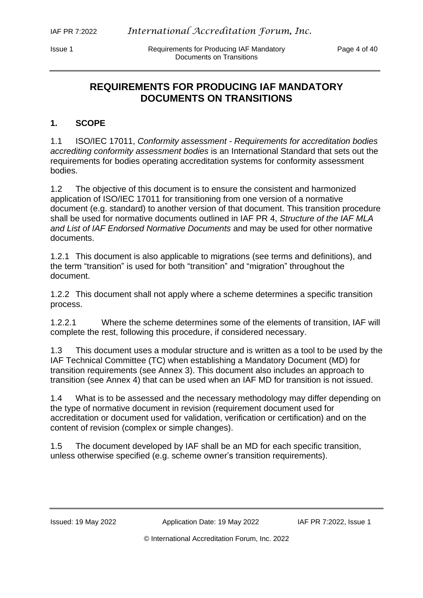Issue 1 Requirements for Producing IAF Mandatory Page 4 of 40 Documents on Transitions

## **REQUIREMENTS FOR PRODUCING IAF MANDATORY DOCUMENTS ON TRANSITIONS**

## **1. SCOPE**

1.1 ISO/IEC 17011, *Conformity assessment - Requirements for accreditation bodies accrediting conformity assessment bodies* is an International Standard that sets out the requirements for bodies operating accreditation systems for conformity assessment bodies.

1.2 The objective of this document is to ensure the consistent and harmonized application of ISO/IEC 17011 for transitioning from one version of a normative document (e.g. standard) to another version of that document. This transition procedure shall be used for normative documents outlined in IAF PR 4, *Structure of the IAF MLA and List of IAF Endorsed Normative Documents* and may be used for other normative documents.

1.2.1 This document is also applicable to migrations (see terms and definitions), and the term "transition" is used for both "transition" and "migration" throughout the document.

1.2.2 This document shall not apply where a scheme determines a specific transition process.

1.2.2.1 Where the scheme determines some of the elements of transition, IAF will complete the rest, following this procedure, if considered necessary.

1.3 This document uses a modular structure and is written as a tool to be used by the IAF Technical Committee (TC) when establishing a Mandatory Document (MD) for transition requirements (see Annex 3). This document also includes an approach to transition (see Annex 4) that can be used when an IAF MD for transition is not issued.

1.4 What is to be assessed and the necessary methodology may differ depending on the type of normative document in revision (requirement document used for accreditation or document used for validation, verification or certification) and on the content of revision (complex or simple changes).

1.5 The document developed by IAF shall be an MD for each specific transition, unless otherwise specified (e.g. scheme owner's transition requirements).

Issued: 19 May 2022 Application Date: 19 May 2022 IAF PR 7:2022, Issue 1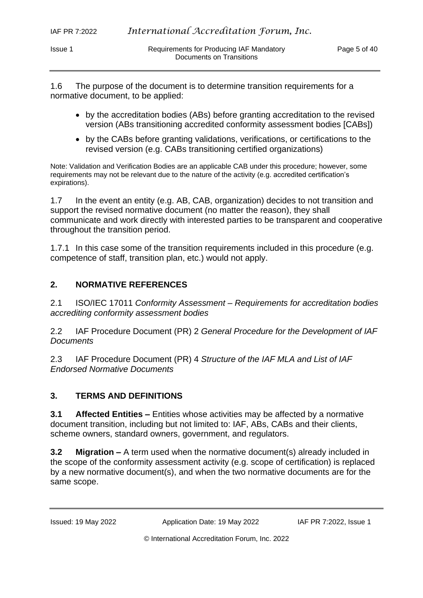1.6 The purpose of the document is to determine transition requirements for a normative document, to be applied:

- by the accreditation bodies (ABs) before granting accreditation to the revised version (ABs transitioning accredited conformity assessment bodies [CABs])
- by the CABs before granting validations, verifications, or certifications to the revised version (e.g. CABs transitioning certified organizations)

Note: Validation and Verification Bodies are an applicable CAB under this procedure; however, some requirements may not be relevant due to the nature of the activity (e.g. accredited certification's expirations).

1.7 In the event an entity (e.g. AB, CAB, organization) decides to not transition and support the revised normative document (no matter the reason), they shall communicate and work directly with interested parties to be transparent and cooperative throughout the transition period.

1.7.1 In this case some of the transition requirements included in this procedure (e.g. competence of staff, transition plan, etc.) would not apply.

## **2. NORMATIVE REFERENCES**

2.1 ISO/IEC 17011 *Conformity Assessment – Requirements for accreditation bodies accrediting conformity assessment bodies* 

2.2 IAF Procedure Document (PR) 2 *General Procedure for the Development of IAF Documents*

2.3 IAF Procedure Document (PR) 4 *Structure of the IAF MLA and List of IAF Endorsed Normative Documents*

## **3. TERMS AND DEFINITIONS**

**3.1 Affected Entities –** Entities whose activities may be affected by a normative document transition, including but not limited to: IAF, ABs, CABs and their clients, scheme owners, standard owners, government, and regulators.

**3.2 Migration –** A term used when the normative document(s) already included in the scope of the conformity assessment activity (e.g. scope of certification) is replaced by a new normative document(s), and when the two normative documents are for the same scope.

Issued: 19 May 2022 Application Date: 19 May 2022 IAF PR 7:2022, Issue 1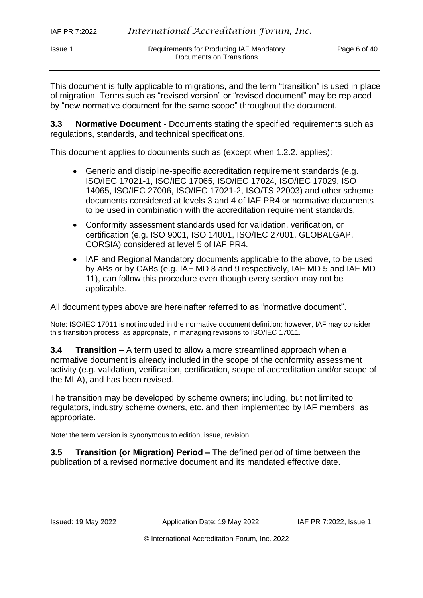This document is fully applicable to migrations, and the term "transition" is used in place of migration. Terms such as "revised version" or "revised document" may be replaced by "new normative document for the same scope" throughout the document.

**3.3 Normative Document -** Documents stating the specified requirements such as regulations, standards, and technical specifications.

This document applies to documents such as (except when 1.2.2. applies):

- Generic and discipline-specific accreditation requirement standards (e.g. ISO/IEC 17021-1, ISO/IEC 17065, ISO/IEC 17024, ISO/IEC 17029, ISO 14065, ISO/IEC 27006, ISO/IEC 17021-2, ISO/TS 22003) and other scheme documents considered at levels 3 and 4 of IAF PR4 or normative documents to be used in combination with the accreditation requirement standards.
- Conformity assessment standards used for validation, verification, or certification (e.g. ISO 9001, ISO 14001, ISO/IEC 27001, GLOBALGAP, CORSIA) considered at level 5 of IAF PR4.
- IAF and Regional Mandatory documents applicable to the above, to be used by ABs or by CABs (e.g. IAF MD 8 and 9 respectively, IAF MD 5 and IAF MD 11), can follow this procedure even though every section may not be applicable.

All document types above are hereinafter referred to as "normative document".

Note: ISO/IEC 17011 is not included in the normative document definition; however, IAF may consider this transition process, as appropriate, in managing revisions to ISO/IEC 17011.

**3.4 Transition –** A term used to allow a more streamlined approach when a normative document is already included in the scope of the conformity assessment activity (e.g. validation, verification, certification, scope of accreditation and/or scope of the MLA), and has been revised.

The transition may be developed by scheme owners; including, but not limited to regulators, industry scheme owners, etc. and then implemented by IAF members, as appropriate.

Note: the term version is synonymous to edition, issue, revision.

**3.5 Transition (or Migration) Period –** The defined period of time between the publication of a revised normative document and its mandated effective date.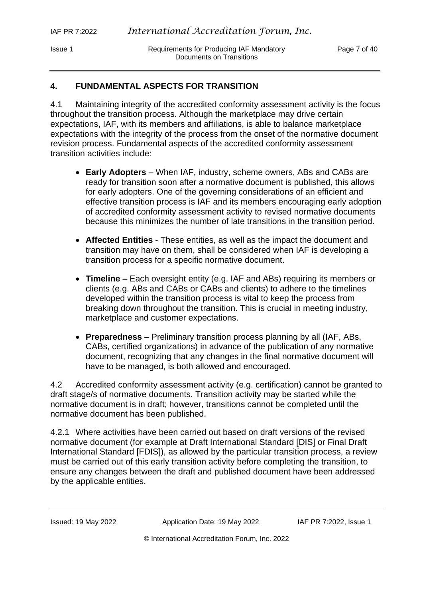Issue 1 Requirements for Producing IAF Mandatory Page 7 of 40 Documents on Transitions

#### **4. FUNDAMENTAL ASPECTS FOR TRANSITION**

4.1 Maintaining integrity of the accredited conformity assessment activity is the focus throughout the transition process. Although the marketplace may drive certain expectations, IAF, with its members and affiliations, is able to balance marketplace expectations with the integrity of the process from the onset of the normative document revision process. Fundamental aspects of the accredited conformity assessment transition activities include:

- **Early Adopters** When IAF, industry, scheme owners, ABs and CABs are ready for transition soon after a normative document is published, this allows for early adopters. One of the governing considerations of an efficient and effective transition process is IAF and its members encouraging early adoption of accredited conformity assessment activity to revised normative documents because this minimizes the number of late transitions in the transition period.
- **Affected Entities** These entities, as well as the impact the document and transition may have on them, shall be considered when IAF is developing a transition process for a specific normative document.
- **Timeline –** Each oversight entity (e.g. IAF and ABs) requiring its members or clients (e.g. ABs and CABs or CABs and clients) to adhere to the timelines developed within the transition process is vital to keep the process from breaking down throughout the transition. This is crucial in meeting industry, marketplace and customer expectations.
- **Preparedness** Preliminary transition process planning by all (IAF, ABs, CABs, certified organizations) in advance of the publication of any normative document, recognizing that any changes in the final normative document will have to be managed, is both allowed and encouraged.

4.2 Accredited conformity assessment activity (e.g. certification) cannot be granted to draft stage/s of normative documents. Transition activity may be started while the normative document is in draft; however, transitions cannot be completed until the normative document has been published.

4.2.1 Where activities have been carried out based on draft versions of the revised normative document (for example at Draft International Standard [DIS] or Final Draft International Standard [FDIS]), as allowed by the particular transition process, a review must be carried out of this early transition activity before completing the transition, to ensure any changes between the draft and published document have been addressed by the applicable entities.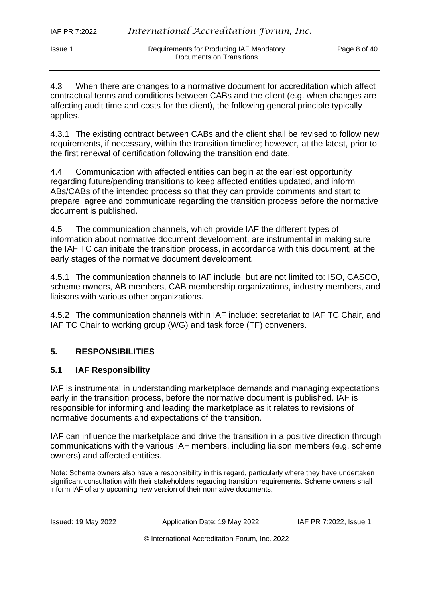4.3 When there are changes to a normative document for accreditation which affect contractual terms and conditions between CABs and the client (e.g. when changes are affecting audit time and costs for the client), the following general principle typically applies.

4.3.1 The existing contract between CABs and the client shall be revised to follow new requirements, if necessary, within the transition timeline; however, at the latest, prior to the first renewal of certification following the transition end date.

4.4 Communication with affected entities can begin at the earliest opportunity regarding future/pending transitions to keep affected entities updated, and inform ABs/CABs of the intended process so that they can provide comments and start to prepare, agree and communicate regarding the transition process before the normative document is published.

4.5 The communication channels, which provide IAF the different types of information about normative document development, are instrumental in making sure the IAF TC can initiate the transition process, in accordance with this document, at the early stages of the normative document development.

4.5.1 The communication channels to IAF include, but are not limited to: ISO, CASCO, scheme owners, AB members, CAB membership organizations, industry members, and liaisons with various other organizations.

4.5.2 The communication channels within IAF include: secretariat to IAF TC Chair, and IAF TC Chair to working group (WG) and task force (TF) conveners.

## **5. RESPONSIBILITIES**

## **5.1 IAF Responsibility**

IAF is instrumental in understanding marketplace demands and managing expectations early in the transition process, before the normative document is published. IAF is responsible for informing and leading the marketplace as it relates to revisions of normative documents and expectations of the transition.

IAF can influence the marketplace and drive the transition in a positive direction through communications with the various IAF members, including liaison members (e.g. scheme owners) and affected entities.

Note: Scheme owners also have a responsibility in this regard, particularly where they have undertaken significant consultation with their stakeholders regarding transition requirements. Scheme owners shall inform IAF of any upcoming new version of their normative documents.

Issued: 19 May 2022 Application Date: 19 May 2022 IAF PR 7:2022, Issue 1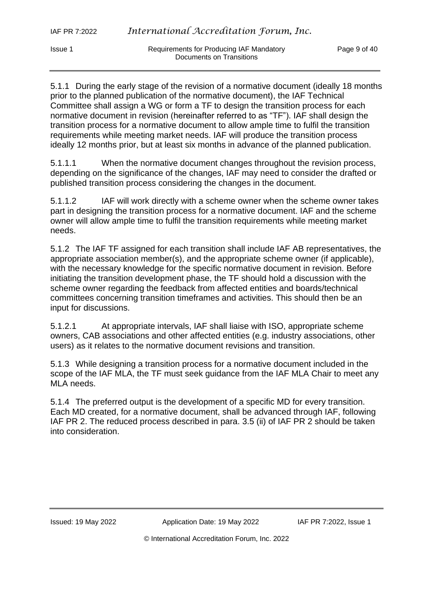Issue 1 Requirements for Producing IAF Mandatory Page 9 of 40 Documents on Transitions

5.1.1 During the early stage of the revision of a normative document (ideally 18 months prior to the planned publication of the normative document), the IAF Technical Committee shall assign a WG or form a TF to design the transition process for each normative document in revision (hereinafter referred to as "TF"). IAF shall design the transition process for a normative document to allow ample time to fulfil the transition requirements while meeting market needs. IAF will produce the transition process ideally 12 months prior, but at least six months in advance of the planned publication.

5.1.1.1 When the normative document changes throughout the revision process, depending on the significance of the changes, IAF may need to consider the drafted or published transition process considering the changes in the document.

5.1.1.2 IAF will work directly with a scheme owner when the scheme owner takes part in designing the transition process for a normative document. IAF and the scheme owner will allow ample time to fulfil the transition requirements while meeting market needs.

5.1.2 The IAF TF assigned for each transition shall include IAF AB representatives, the appropriate association member(s), and the appropriate scheme owner (if applicable), with the necessary knowledge for the specific normative document in revision. Before initiating the transition development phase, the TF should hold a discussion with the scheme owner regarding the feedback from affected entities and boards/technical committees concerning transition timeframes and activities. This should then be an input for discussions.

5.1.2.1 At appropriate intervals, IAF shall liaise with ISO, appropriate scheme owners, CAB associations and other affected entities (e.g. industry associations, other users) as it relates to the normative document revisions and transition.

5.1.3 While designing a transition process for a normative document included in the scope of the IAF MLA, the TF must seek guidance from the IAF MLA Chair to meet any MLA needs.

5.1.4 The preferred output is the development of a specific MD for every transition. Each MD created, for a normative document, shall be advanced through IAF, following IAF PR 2. The reduced process described in para. 3.5 (ii) of IAF PR 2 should be taken into consideration.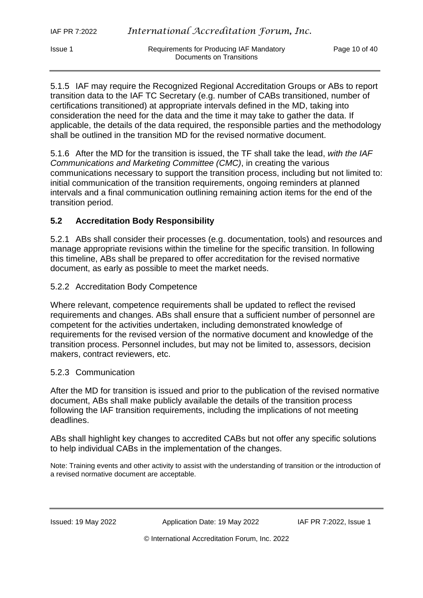Issue 1 **Inc. According IGF** Mandatory **Page 10 of 40** and Requirements for Producing IAF Mandatory Documents on Transitions

5.1.5 IAF may require the Recognized Regional Accreditation Groups or ABs to report transition data to the IAF TC Secretary (e.g. number of CABs transitioned, number of certifications transitioned) at appropriate intervals defined in the MD, taking into consideration the need for the data and the time it may take to gather the data. If applicable, the details of the data required, the responsible parties and the methodology shall be outlined in the transition MD for the revised normative document.

5.1.6 After the MD for the transition is issued, the TF shall take the lead, *with the IAF Communications and Marketing Committee (CMC)*, in creating the various communications necessary to support the transition process, including but not limited to: initial communication of the transition requirements, ongoing reminders at planned intervals and a final communication outlining remaining action items for the end of the transition period.

#### **5.2 Accreditation Body Responsibility**

5.2.1 ABs shall consider their processes (e.g. documentation, tools) and resources and manage appropriate revisions within the timeline for the specific transition. In following this timeline, ABs shall be prepared to offer accreditation for the revised normative document, as early as possible to meet the market needs.

#### 5.2.2 Accreditation Body Competence

Where relevant, competence requirements shall be updated to reflect the revised requirements and changes. ABs shall ensure that a sufficient number of personnel are competent for the activities undertaken, including demonstrated knowledge of requirements for the revised version of the normative document and knowledge of the transition process. Personnel includes, but may not be limited to, assessors, decision makers, contract reviewers, etc.

#### 5.2.3 Communication

After the MD for transition is issued and prior to the publication of the revised normative document, ABs shall make publicly available the details of the transition process following the IAF transition requirements, including the implications of not meeting deadlines.

ABs shall highlight key changes to accredited CABs but not offer any specific solutions to help individual CABs in the implementation of the changes.

Note: Training events and other activity to assist with the understanding of transition or the introduction of a revised normative document are acceptable.

Issued: 19 May 2022 Application Date: 19 May 2022 IAF PR 7:2022, Issue 1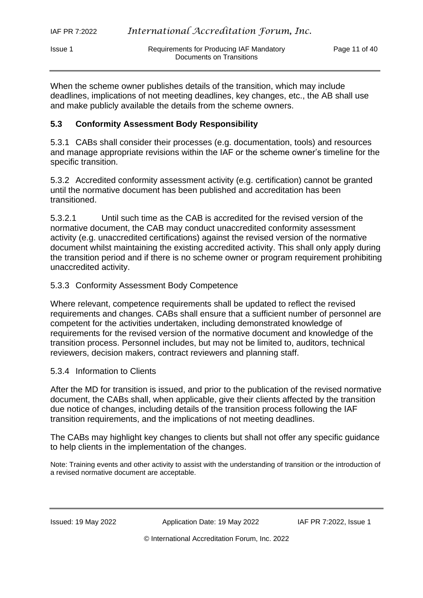| Issue 1 | Requirements for Producing IAF Mandatory | Page 11 of 40 |
|---------|------------------------------------------|---------------|
|         | Documents on Transitions                 |               |

When the scheme owner publishes details of the transition, which may include deadlines, implications of not meeting deadlines, key changes, etc., the AB shall use and make publicly available the details from the scheme owners.

### **5.3 Conformity Assessment Body Responsibility**

5.3.1 CABs shall consider their processes (e.g. documentation, tools) and resources and manage appropriate revisions within the IAF or the scheme owner's timeline for the specific transition.

5.3.2 Accredited conformity assessment activity (e.g. certification) cannot be granted until the normative document has been published and accreditation has been transitioned.

5.3.2.1 Until such time as the CAB is accredited for the revised version of the normative document, the CAB may conduct unaccredited conformity assessment activity (e.g. unaccredited certifications) against the revised version of the normative document whilst maintaining the existing accredited activity. This shall only apply during the transition period and if there is no scheme owner or program requirement prohibiting unaccredited activity.

#### 5.3.3 Conformity Assessment Body Competence

Where relevant, competence requirements shall be updated to reflect the revised requirements and changes. CABs shall ensure that a sufficient number of personnel are competent for the activities undertaken, including demonstrated knowledge of requirements for the revised version of the normative document and knowledge of the transition process. Personnel includes, but may not be limited to, auditors, technical reviewers, decision makers, contract reviewers and planning staff.

#### 5.3.4 Information to Clients

After the MD for transition is issued, and prior to the publication of the revised normative document, the CABs shall, when applicable, give their clients affected by the transition due notice of changes, including details of the transition process following the IAF transition requirements, and the implications of not meeting deadlines.

The CABs may highlight key changes to clients but shall not offer any specific guidance to help clients in the implementation of the changes.

Note: Training events and other activity to assist with the understanding of transition or the introduction of a revised normative document are acceptable.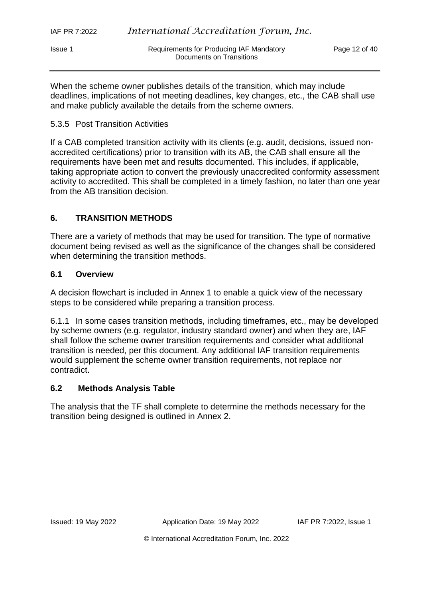When the scheme owner publishes details of the transition, which may include deadlines, implications of not meeting deadlines, key changes, etc., the CAB shall use and make publicly available the details from the scheme owners.

#### 5.3.5 Post Transition Activities

If a CAB completed transition activity with its clients (e.g. audit, decisions, issued nonaccredited certifications) prior to transition with its AB, the CAB shall ensure all the requirements have been met and results documented. This includes, if applicable, taking appropriate action to convert the previously unaccredited conformity assessment activity to accredited. This shall be completed in a timely fashion, no later than one year from the AB transition decision.

## **6. TRANSITION METHODS**

There are a variety of methods that may be used for transition. The type of normative document being revised as well as the significance of the changes shall be considered when determining the transition methods.

#### **6.1 Overview**

A decision flowchart is included in Annex 1 to enable a quick view of the necessary steps to be considered while preparing a transition process.

6.1.1 In some cases transition methods, including timeframes, etc., may be developed by scheme owners (e.g. regulator, industry standard owner) and when they are, IAF shall follow the scheme owner transition requirements and consider what additional transition is needed, per this document. Any additional IAF transition requirements would supplement the scheme owner transition requirements, not replace nor contradict.

#### **6.2 Methods Analysis Table**

The analysis that the TF shall complete to determine the methods necessary for the transition being designed is outlined in Annex 2.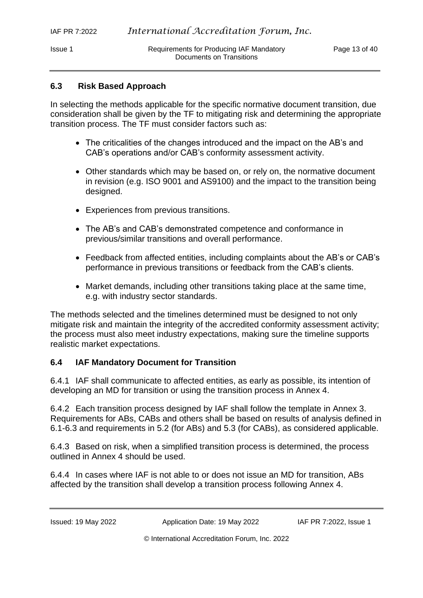## **6.3 Risk Based Approach**

In selecting the methods applicable for the specific normative document transition, due consideration shall be given by the TF to mitigating risk and determining the appropriate transition process. The TF must consider factors such as:

- The criticalities of the changes introduced and the impact on the AB's and CAB's operations and/or CAB's conformity assessment activity.
- Other standards which may be based on, or rely on, the normative document in revision (e.g. ISO 9001 and AS9100) and the impact to the transition being designed.
- Experiences from previous transitions.
- The AB's and CAB's demonstrated competence and conformance in previous/similar transitions and overall performance.
- Feedback from affected entities, including complaints about the AB's or CAB's performance in previous transitions or feedback from the CAB's clients.
- Market demands, including other transitions taking place at the same time, e.g. with industry sector standards.

The methods selected and the timelines determined must be designed to not only mitigate risk and maintain the integrity of the accredited conformity assessment activity; the process must also meet industry expectations, making sure the timeline supports realistic market expectations.

## **6.4 IAF Mandatory Document for Transition**

6.4.1 IAF shall communicate to affected entities, as early as possible, its intention of developing an MD for transition or using the transition process in Annex 4.

6.4.2 Each transition process designed by IAF shall follow the template in Annex 3. Requirements for ABs, CABs and others shall be based on results of analysis defined in 6.1-6.3 and requirements in 5.2 (for ABs) and 5.3 (for CABs), as considered applicable.

6.4.3 Based on risk, when a simplified transition process is determined, the process outlined in Annex 4 should be used.

6.4.4 In cases where IAF is not able to or does not issue an MD for transition, ABs affected by the transition shall develop a transition process following Annex 4.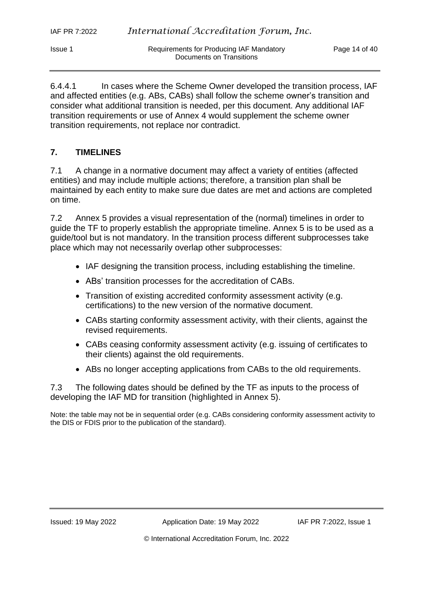6.4.4.1 In cases where the Scheme Owner developed the transition process, IAF and affected entities (e.g. ABs, CABs) shall follow the scheme owner's transition and consider what additional transition is needed, per this document. Any additional IAF transition requirements or use of Annex 4 would supplement the scheme owner transition requirements, not replace nor contradict.

Documents on Transitions

## **7. TIMELINES**

7.1 A change in a normative document may affect a variety of entities (affected entities) and may include multiple actions; therefore, a transition plan shall be maintained by each entity to make sure due dates are met and actions are completed on time.

7.2 Annex 5 provides a visual representation of the (normal) timelines in order to guide the TF to properly establish the appropriate timeline. Annex 5 is to be used as a guide/tool but is not mandatory. In the transition process different subprocesses take place which may not necessarily overlap other subprocesses:

- IAF designing the transition process, including establishing the timeline.
- ABs' transition processes for the accreditation of CABs.
- Transition of existing accredited conformity assessment activity (e.g. certifications) to the new version of the normative document.
- CABs starting conformity assessment activity, with their clients, against the revised requirements.
- CABs ceasing conformity assessment activity (e.g. issuing of certificates to their clients) against the old requirements.
- ABs no longer accepting applications from CABs to the old requirements.

7.3 The following dates should be defined by the TF as inputs to the process of developing the IAF MD for transition (highlighted in Annex 5).

Note: the table may not be in sequential order (e.g. CABs considering conformity assessment activity to the DIS or FDIS prior to the publication of the standard).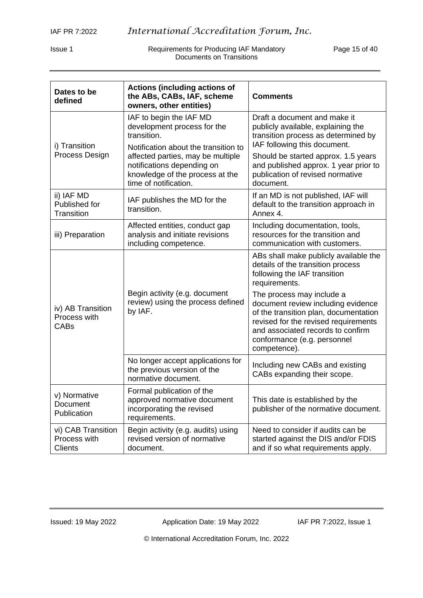Issue 1 **Interpret in the Requirements for Producing IAF Mandatory Page 15 of 40** Documents on Transitions

| Dates to be<br>defined                               | <b>Actions (including actions of</b><br>the ABs, CABs, IAF, scheme<br>owners, other entities)                               | <b>Comments</b>                                                                                                                                                                                                                      |
|------------------------------------------------------|-----------------------------------------------------------------------------------------------------------------------------|--------------------------------------------------------------------------------------------------------------------------------------------------------------------------------------------------------------------------------------|
| i) Transition                                        | IAF to begin the IAF MD<br>development process for the<br>transition.<br>Notification about the transition to               | Draft a document and make it<br>publicly available, explaining the<br>transition process as determined by<br>IAF following this document.                                                                                            |
| Process Design                                       | affected parties, may be multiple<br>notifications depending on<br>knowledge of the process at the<br>time of notification. | Should be started approx. 1.5 years<br>and published approx. 1 year prior to<br>publication of revised normative<br>document.                                                                                                        |
| ii) IAF MD<br>Published for<br>Transition            | IAF publishes the MD for the<br>transition.                                                                                 | If an MD is not published, IAF will<br>default to the transition approach in<br>Annex 4.                                                                                                                                             |
| iii) Preparation                                     | Affected entities, conduct gap<br>analysis and initiate revisions<br>including competence.                                  | Including documentation, tools,<br>resources for the transition and<br>communication with customers.                                                                                                                                 |
|                                                      |                                                                                                                             | ABs shall make publicly available the<br>details of the transition process<br>following the IAF transition<br>requirements.                                                                                                          |
| iv) AB Transition<br>Process with<br><b>CABs</b>     | Begin activity (e.g. document<br>review) using the process defined<br>by IAF.                                               | The process may include a<br>document review including evidence<br>of the transition plan, documentation<br>revised for the revised requirements<br>and associated records to confirm<br>conformance (e.g. personnel<br>competence). |
|                                                      | No longer accept applications for<br>the previous version of the<br>normative document.                                     | Including new CABs and existing<br>CABs expanding their scope.                                                                                                                                                                       |
| v) Normative<br>Document<br>Publication              | Formal publication of the<br>approved normative document<br>incorporating the revised<br>requirements.                      | This date is established by the<br>publisher of the normative document.                                                                                                                                                              |
| vi) CAB Transition<br>Process with<br><b>Clients</b> | Begin activity (e.g. audits) using<br>revised version of normative<br>document.                                             | Need to consider if audits can be<br>started against the DIS and/or FDIS<br>and if so what requirements apply.                                                                                                                       |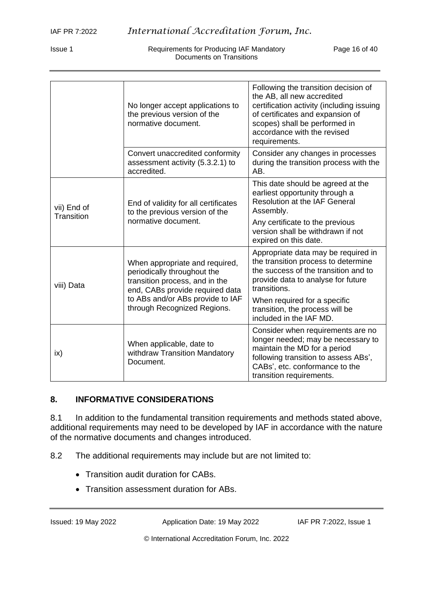Requirements for Producing IAF Mandatory Page 16 of 40 Documents on Transitions

|                           | No longer accept applications to<br>the previous version of the<br>normative document.                                             | Following the transition decision of<br>the AB, all new accredited<br>certification activity (including issuing<br>of certificates and expansion of<br>scopes) shall be performed in<br>accordance with the revised<br>requirements. |
|---------------------------|------------------------------------------------------------------------------------------------------------------------------------|--------------------------------------------------------------------------------------------------------------------------------------------------------------------------------------------------------------------------------------|
|                           | Convert unaccredited conformity<br>assessment activity (5.3.2.1) to<br>accredited.                                                 | Consider any changes in processes<br>during the transition process with the<br>AB.                                                                                                                                                   |
| vii) End of<br>Transition | End of validity for all certificates<br>to the previous version of the                                                             | This date should be agreed at the<br>earliest opportunity through a<br><b>Resolution at the IAF General</b><br>Assembly.                                                                                                             |
|                           | normative document.                                                                                                                | Any certificate to the previous<br>version shall be withdrawn if not<br>expired on this date.                                                                                                                                        |
| viii) Data                | When appropriate and required,<br>periodically throughout the<br>transition process, and in the<br>end, CABs provide required data | Appropriate data may be required in<br>the transition process to determine<br>the success of the transition and to<br>provide data to analyse for future<br>transitions.                                                             |
|                           | to ABs and/or ABs provide to IAF<br>through Recognized Regions.                                                                    | When required for a specific<br>transition, the process will be<br>included in the IAF MD.                                                                                                                                           |
| ix)                       | When applicable, date to<br>withdraw Transition Mandatory<br>Document.                                                             | Consider when requirements are no<br>longer needed; may be necessary to<br>maintain the MD for a period<br>following transition to assess ABs',<br>CABs', etc. conformance to the<br>transition requirements.                        |

#### **8. INFORMATIVE CONSIDERATIONS**

8.1 In addition to the fundamental transition requirements and methods stated above, additional requirements may need to be developed by IAF in accordance with the nature of the normative documents and changes introduced.

8.2 The additional requirements may include but are not limited to:

- Transition audit duration for CABs.
- Transition assessment duration for ABs.

Issued: 19 May 2022 Application Date: 19 May 2022 IAF PR 7:2022, Issue 1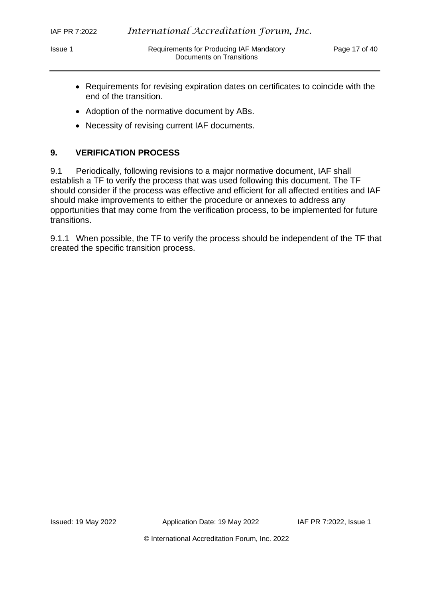- Requirements for revising expiration dates on certificates to coincide with the end of the transition.
- Adoption of the normative document by ABs.
- Necessity of revising current IAF documents.

## **9. VERIFICATION PROCESS**

9.1 Periodically, following revisions to a major normative document, IAF shall establish a TF to verify the process that was used following this document. The TF should consider if the process was effective and efficient for all affected entities and IAF should make improvements to either the procedure or annexes to address any opportunities that may come from the verification process, to be implemented for future transitions.

9.1.1 When possible, the TF to verify the process should be independent of the TF that created the specific transition process.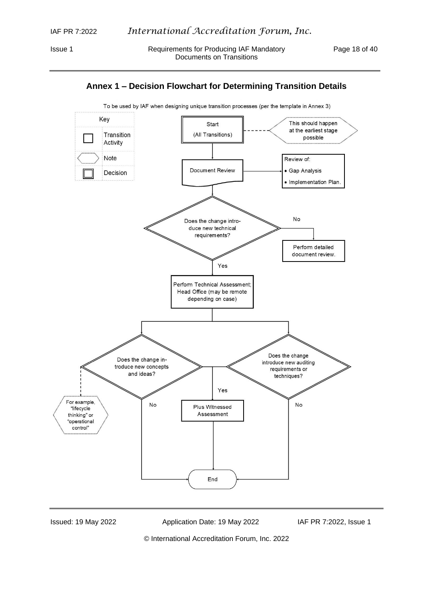



To be used by IAF when designing unique transition processes (per the template in Annex 3)

Issued: 19 May 2022 Application Date: 19 May 2022 IAF PR 7:2022, Issue 1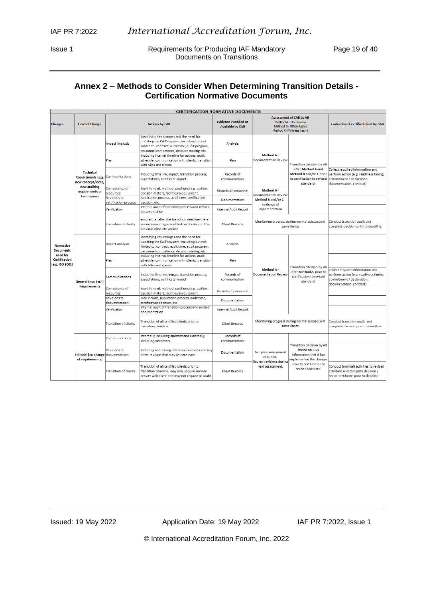Issue 1 **Requirements for Producing IAF Mandatory** Page 19 of 40 Documents on Transitions

## **Annex 2 – Methods to Consider When Determining Transition Details - Certification Normative Documents**

|                                              |                                                              |                                       |                                                                                                                                                                                             | <b>CERTIFICATION NORMATIVE DOCUMENTS</b>               |                                                             |                                                                                                                |                                                                                                                                     |
|----------------------------------------------|--------------------------------------------------------------|---------------------------------------|---------------------------------------------------------------------------------------------------------------------------------------------------------------------------------------------|--------------------------------------------------------|-------------------------------------------------------------|----------------------------------------------------------------------------------------------------------------|-------------------------------------------------------------------------------------------------------------------------------------|
| <b>Changes</b>                               | <b>Level of Change</b>                                       |                                       | <b>Actions by CAB</b>                                                                                                                                                                       | <b>Evidence Provided or</b><br><b>Available by CAB</b> |                                                             | <b>Assessment of CAB by AB</b><br>Method A - Doc Review<br>Method B - Office Assmt<br>Method C - Witness Assmt | <b>Evaluation of certified client by CAB</b>                                                                                        |
|                                              |                                                              | Impact Analysis                       | Identifying key changes and the need for<br>updating the CAB's system; including but not<br>limited to, contract, audit time, audit program,<br>personnel competence, decision making, etc. | Analysis                                               |                                                             |                                                                                                                |                                                                                                                                     |
|                                              |                                                              | Plan                                  | Including internal timeline for actions, audit<br>schedule, communication with clients, transition<br>with AB/s and clients                                                                 | Plan                                                   | Method A-<br>Documentation Review                           | Transition decision by AB                                                                                      |                                                                                                                                     |
|                                              | <b>Technical</b><br>Requirements (e.g.<br>new concept/ideas, | Communications                        | Including time line, impact, transition process,<br>expectations, certificate impact                                                                                                        | Records of<br>communication                            |                                                             | after Method A and<br>Method B and/or C prior<br>to certification to revised<br>standard.                      | Collect required information and<br>perform action (e.g. readiness timing,<br>commitment / declaration,<br>documentation, contract) |
|                                              | new auditing<br>requirements or                              | Competence of<br>resources            | Identify need, method, positions (e.g. auditor,<br>decision maker), facilities & equipment.                                                                                                 | Records of personnel                                   | Method A-<br>Documentation Review                           |                                                                                                                |                                                                                                                                     |
|                                              | techniques)                                                  | Revisions to<br>certification process | Application process, audit time, certification<br>decision, etc.                                                                                                                            | Documentation                                          | Method B and/or C -<br>evidence of                          |                                                                                                                |                                                                                                                                     |
|                                              |                                                              | Verification                          | Internal audit of transition process and revised<br>documentation                                                                                                                           | Internal Audit Report                                  | implementation                                              |                                                                                                                |                                                                                                                                     |
|                                              |                                                              | Transition of clients                 | ensure that after the transition deadline there<br>are no remaining accredited certificates on the<br>previous obsolete version                                                             | Client Records                                         |                                                             | Monitoring progress during normal subsequent<br>surveillance                                                   | Conduct transition audit and<br>complete decision prior to deadline.                                                                |
| Normative<br><b>Documents</b>                |                                                              | Impact Analysis                       | Identifying key changes and the need for<br>updating the CAB's system; including but not<br>limited to, contract, audit time, audit program,<br>personnel competence, decision making, etc. | Analysis                                               |                                                             |                                                                                                                |                                                                                                                                     |
| used for<br>Certification<br>(e.g. ISO 9001) |                                                              | Plan                                  | Including internal timeline for actions, audit<br>schedule, communication with clients, transition<br>with AB/s and clients                                                                 | Plan                                                   |                                                             | Transition decision by AB                                                                                      |                                                                                                                                     |
|                                              | General (non tech)<br>Requirements                           | Communications                        | Including time line, impact, transition process,<br>expectations, certificate impact                                                                                                        | Records of<br>communication                            | Method A-<br>Documentation Review                           | after Method A prior to<br>certification to revised<br>standard.                                               | Collect required information and<br>perform action (e.g. readiness timing,<br>commitment / declaration,<br>documentation, contract) |
|                                              |                                                              | Competence of<br>resources            | Identify need, method, positions (e.g. auditor,<br>decision maker), facilities & equipment.                                                                                                 | Records of personnel                                   |                                                             |                                                                                                                |                                                                                                                                     |
|                                              |                                                              | Revisions to<br>documentation         | May include, application process, audit time,<br>certification decision, etc.                                                                                                               | Documentation                                          |                                                             |                                                                                                                |                                                                                                                                     |
|                                              |                                                              | Verification                          | Internal audit of transition process and revised<br>documentation                                                                                                                           | Internal Audit Report                                  |                                                             |                                                                                                                |                                                                                                                                     |
|                                              |                                                              | Transition of clients                 | Transition of all certified clients prior to<br>transition deadline                                                                                                                         | Client Records                                         |                                                             | Monitoring progress during normal subsequent<br>surveillance                                                   | Conduct transition audit and<br>complete decision prior to deadline.                                                                |
|                                              |                                                              | Communications                        | Internally, including auditors and externally,<br>including customers.                                                                                                                      | Records of<br>communication                            |                                                             |                                                                                                                |                                                                                                                                     |
|                                              | Editorial (no change documentation<br>of requirements)       | Revisions to                          | Including addressing reference revisions and any<br>other revision that may be necessary.                                                                                                   | Documentation                                          | No prior assessment<br>required.<br>Review revisions during | Transition decision by AB<br>based on CAB<br>information that it has<br>mplemented the changes                 |                                                                                                                                     |
|                                              |                                                              | Transition of clients                 | Transition of all certified clients prior to<br>transition deadline, may only require normal<br>activity with client and may not require an audit.                                          | Client Records                                         | next assessment.                                            | prior to certification to<br>revised standard.                                                                 | Conduct (normal) activities to revised<br>standard and complete decision /<br>revise certificate prior to deadline.                 |

Issued: 19 May 2022 Application Date: 19 May 2022 IAF PR 7:2022, Issue 1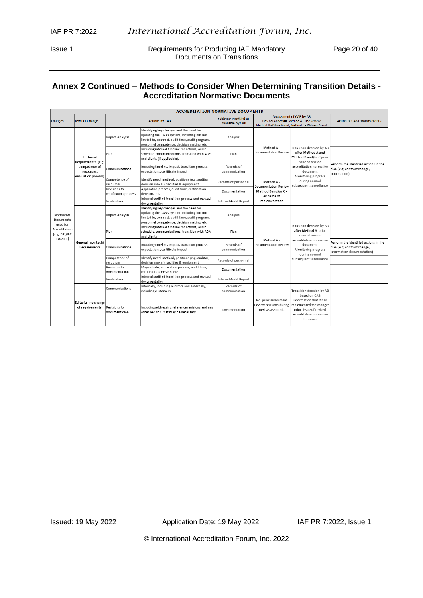Issue 1 **Requirements for Producing IAF Mandatory** Page 20 of 40 Documents on Transitions

## **Annex 2 Continued – Methods to Consider When Determining Transition Details - Accreditation Normative Documents**

|                                             |                                                                          | <b>ACCREDITATION NORMATIVE DOCUMENTS</b> |                                                                                                                                                                                             |                                                        |                                                                    |                                                                                                                                     |                                                                                                    |
|---------------------------------------------|--------------------------------------------------------------------------|------------------------------------------|---------------------------------------------------------------------------------------------------------------------------------------------------------------------------------------------|--------------------------------------------------------|--------------------------------------------------------------------|-------------------------------------------------------------------------------------------------------------------------------------|----------------------------------------------------------------------------------------------------|
| <b>Changes</b>                              | Level of Change                                                          |                                          | <b>Actions by CAB</b>                                                                                                                                                                       | <b>Evidence Provided or</b><br><b>Available by CAB</b> |                                                                    | <b>Assessment of CAB by AB</b><br>(Key per Annex ##: Method A - Doc Review;<br>Method B - Office Assmt: Method C - Witness Assmt    | <b>Action of CAB towards clients</b>                                                               |
|                                             |                                                                          | Impact Analysis                          | Identifying key changes and the need for<br>updating the CAB's system; including but not<br>limited to, contract, audit time, audit program,<br>personnel competence, decision making, etc. | Analysis                                               |                                                                    |                                                                                                                                     |                                                                                                    |
|                                             | Technical                                                                | Plan                                     | Including internal timeline for actions, audit<br>schedule, communications, transition with AB/s<br>and clients (if applicable).                                                            | Plan                                                   | Method A -<br>Documentation Review                                 | Transition decision by AB<br>after Method A and<br>Method B and/or C prior                                                          |                                                                                                    |
|                                             | Requirements (e.g.<br>competence of<br>resources.<br>evaluation process) | Communications                           | Including timeline, impact, transition process,<br>expectations, certificate impact                                                                                                         | Records of<br>communication                            |                                                                    | issue of revised<br>accreditation normative<br>document<br>Monitoring progress                                                      | Perform the identified actions in the<br>plan (e.g. contract change,<br>information)               |
|                                             |                                                                          | Competence of<br>resources               | Identify need, method, positions (e.g. auditor,<br>decision maker), facilities & equipment.                                                                                                 | Records of personnel                                   | Method A -<br>Documentation Review                                 | during normal<br>subsequent surveillance                                                                                            |                                                                                                    |
|                                             |                                                                          | Revisions to<br>certification process    | Application process, audit time, certification<br>decision.etc.                                                                                                                             | Documentation                                          | Method B and/or C -                                                |                                                                                                                                     |                                                                                                    |
|                                             |                                                                          | Verification                             | Internal audit of transition process and revised<br>documentation                                                                                                                           | Internal Audit Report                                  | evidence of<br>implementation                                      |                                                                                                                                     |                                                                                                    |
| Normative<br>Documents<br>used for          |                                                                          | Impact Analysis                          | Identifying key changes and the need for<br>updating the CAB's system; including but not<br>limited to, contract, audit time, audit program,<br>personnel competence, decision making, etc. | Analysis                                               |                                                                    |                                                                                                                                     |                                                                                                    |
| Accreditation<br>(e.g. ISO/IEC<br>$17021-1$ |                                                                          | Plan                                     | Including internal timeline for actions, audit<br>schedule, communications, transition with AB/s<br>and clients                                                                             | Plan                                                   |                                                                    | Transition decision by AB<br>after Method A prior<br>issue of revised                                                               |                                                                                                    |
|                                             | General (non tech)<br><b>Requirements</b>                                | Communications                           | Including timeline, impact, transition process,<br>expectations, certificate impact                                                                                                         | Records of<br>communication                            | Method A -<br>Documentation Review                                 | accreditation normative<br>document<br>Monitoring progress<br>during normal                                                         | Perform the identified actions in the<br>plan (e.g. contract change,<br>information documentation) |
|                                             |                                                                          | Competence of<br>resources               | Identify need, method, positions (e.g. auditor,<br>decision maker), facilities & equipment.                                                                                                 | Records of personnel                                   |                                                                    | subsequent surveillance                                                                                                             |                                                                                                    |
|                                             |                                                                          | Revisions to<br>documentation            | May include, application process, audit time,<br>certification decision, etc.                                                                                                               | Documentation                                          |                                                                    |                                                                                                                                     |                                                                                                    |
|                                             |                                                                          | Verification                             | Internal audit of transition process and revised<br>documentation                                                                                                                           | Internal Audit Report                                  |                                                                    |                                                                                                                                     |                                                                                                    |
|                                             |                                                                          | Communications                           | Internally, including auditors and externally,<br>including customers.                                                                                                                      | Records of<br>communication                            |                                                                    | Transition decision by AB                                                                                                           |                                                                                                    |
|                                             | <b>Editorial</b> (no change<br>of requirements)                          | Revisions to<br>documentation            | Including addressing reference revisions and any<br>other revision that may be necessary.                                                                                                   | Documentation                                          | No prior assessment<br>Review revisions during<br>next assessment. | based on CAB<br>information that it has<br>implemented the changes<br>prior issue of revised<br>accreditation normative<br>document |                                                                                                    |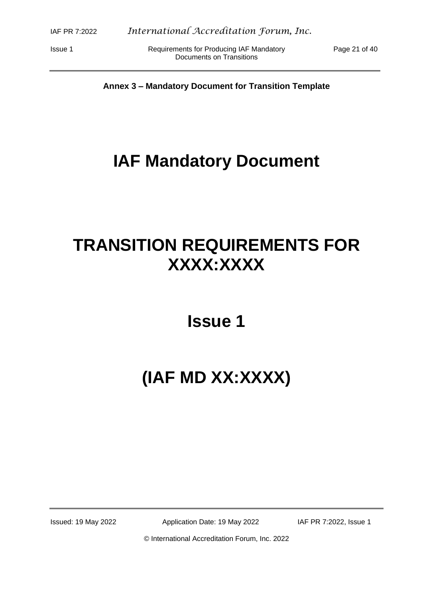Issue 1 **Inc. Accomments For Producing IAF Mandatory** Page 21 of 40 Documents on Transitions

**Annex 3 – Mandatory Document for Transition Template**

## **IAF Mandatory Document**

# **TRANSITION REQUIREMENTS FOR XXXX:XXXX**

**Issue 1**

# **(IAF MD XX:XXXX)**

Issued: 19 May 2022 Application Date: 19 May 2022 IAF PR 7:2022, Issue 1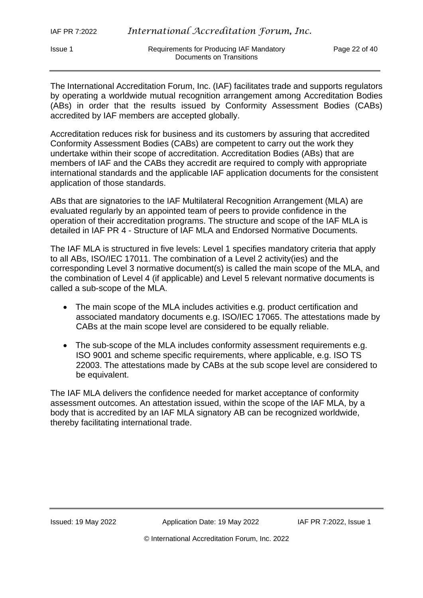The International Accreditation Forum, Inc. (IAF) facilitates trade and supports regulators by operating a worldwide mutual recognition arrangement among Accreditation Bodies (ABs) in order that the results issued by Conformity Assessment Bodies (CABs) accredited by IAF members are accepted globally.

Accreditation reduces risk for business and its customers by assuring that accredited Conformity Assessment Bodies (CABs) are competent to carry out the work they undertake within their scope of accreditation. Accreditation Bodies (ABs) that are members of IAF and the CABs they accredit are required to comply with appropriate international standards and the applicable IAF application documents for the consistent application of those standards.

ABs that are signatories to the IAF Multilateral Recognition Arrangement (MLA) are evaluated regularly by an appointed team of peers to provide confidence in the operation of their accreditation programs. The structure and scope of the IAF MLA is detailed in IAF PR 4 - Structure of IAF MLA and Endorsed Normative Documents.

The IAF MLA is structured in five levels: Level 1 specifies mandatory criteria that apply to all ABs, ISO/IEC 17011. The combination of a Level 2 activity(ies) and the corresponding Level 3 normative document(s) is called the main scope of the MLA, and the combination of Level 4 (if applicable) and Level 5 relevant normative documents is called a sub-scope of the MLA.

- The main scope of the MLA includes activities e.g. product certification and associated mandatory documents e.g. ISO/IEC 17065. The attestations made by CABs at the main scope level are considered to be equally reliable.
- The sub-scope of the MLA includes conformity assessment requirements e.g. ISO 9001 and scheme specific requirements, where applicable, e.g. ISO TS 22003. The attestations made by CABs at the sub scope level are considered to be equivalent.

The IAF MLA delivers the confidence needed for market acceptance of conformity assessment outcomes. An attestation issued, within the scope of the IAF MLA, by a body that is accredited by an IAF MLA signatory AB can be recognized worldwide, thereby facilitating international trade.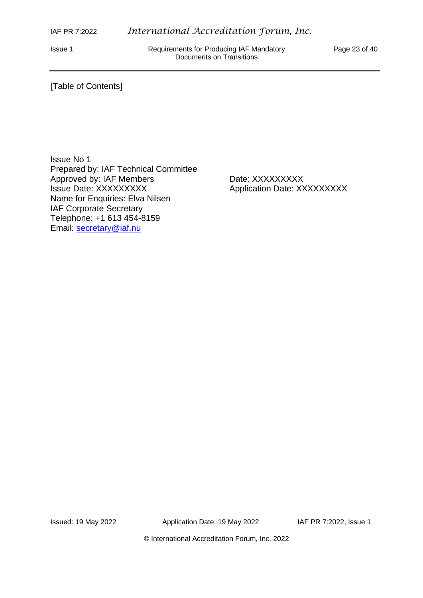Issue 1 Requirements for Producing IAF Mandatory Page 23 of 40 Documents on Transitions

#### [Table of Contents]

Issue No 1 Prepared by: IAF Technical Committee Approved by: IAF Members Date: XXXXXXXXX Issue Date: XXXXXXXXX Application Date: XXXXXXXXX Name for Enquiries: Elva Nilsen IAF Corporate Secretary Telephone: +1 613 454-8159 Email: [secretary@iaf.nu](mailto:secretary@iaf.nu)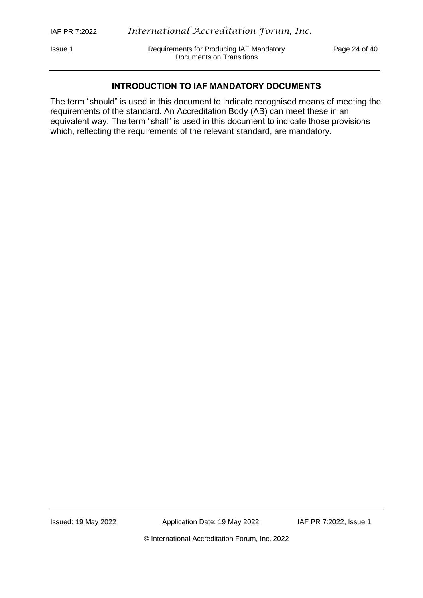Issue 1 Requirements for Producing IAF Mandatory Page 24 of 40 Documents on Transitions

#### **INTRODUCTION TO IAF MANDATORY DOCUMENTS**

The term "should" is used in this document to indicate recognised means of meeting the requirements of the standard. An Accreditation Body (AB) can meet these in an equivalent way. The term "shall" is used in this document to indicate those provisions which, reflecting the requirements of the relevant standard, are mandatory.

Issued: 19 May 2022 Application Date: 19 May 2022 IAF PR 7:2022, Issue 1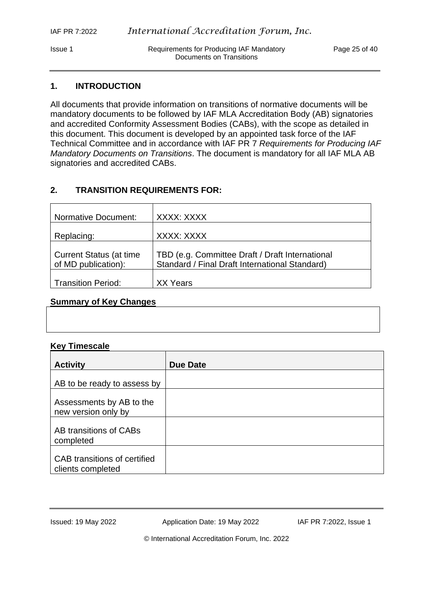Issue 1 **In Requirements for Producing IAF Mandatory** Page 25 of 40 Documents on Transitions

#### **1. INTRODUCTION**

All documents that provide information on transitions of normative documents will be mandatory documents to be followed by IAF MLA Accreditation Body (AB) signatories and accredited Conformity Assessment Bodies (CABs), with the scope as detailed in this document. This document is developed by an appointed task force of the IAF Technical Committee and in accordance with IAF PR 7 *Requirements for Producing IAF Mandatory Documents on Transitions*. The document is mandatory for all IAF MLA AB signatories and accredited CABs.

#### **2. TRANSITION REQUIREMENTS FOR:**

| <b>Normative Document:</b>      | XXXX: XXXX                                      |
|---------------------------------|-------------------------------------------------|
|                                 |                                                 |
| Replacing:                      | XXXX: XXXX                                      |
|                                 |                                                 |
| <b>Current Status (at time)</b> | TBD (e.g. Committee Draft / Draft International |
| of MD publication):             | Standard / Final Draft International Standard)  |
|                                 |                                                 |
| <b>Transition Period:</b>       | XX Years                                        |

#### **Summary of Key Changes**

#### **Key Timescale**

| <b>Activity</b>                                   | Due Date |
|---------------------------------------------------|----------|
| AB to be ready to assess by                       |          |
| Assessments by AB to the<br>new version only by   |          |
| AB transitions of CABs<br>completed               |          |
| CAB transitions of certified<br>clients completed |          |

Issued: 19 May 2022 Application Date: 19 May 2022 IAF PR 7:2022, Issue 1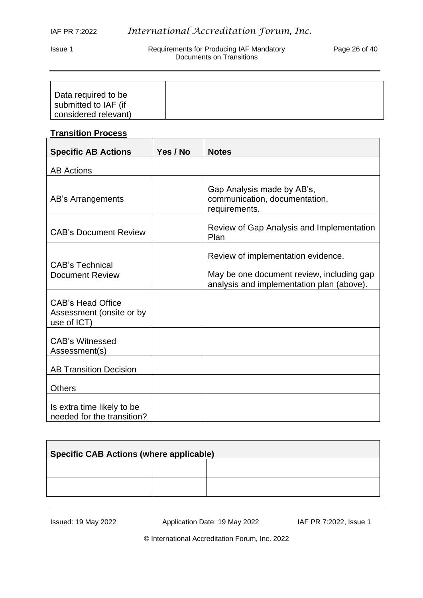Issue 1 **Interpret in the Requirements for Producing IAF Mandatory Page 26 of 40** Documents on Transitions

| Data required to be  |  |
|----------------------|--|
| submitted to IAF (if |  |
| considered relevant) |  |

## **Transition Process**

| <b>Specific AB Actions</b>                                          | Yes / No | <b>Notes</b>                                                                                                                 |
|---------------------------------------------------------------------|----------|------------------------------------------------------------------------------------------------------------------------------|
| <b>AB Actions</b>                                                   |          |                                                                                                                              |
| AB's Arrangements                                                   |          | Gap Analysis made by AB's,<br>communication, documentation,<br>requirements.                                                 |
| <b>CAB's Document Review</b>                                        |          | Review of Gap Analysis and Implementation<br>Plan                                                                            |
| <b>CAB's Technical</b><br><b>Document Review</b>                    |          | Review of implementation evidence.<br>May be one document review, including gap<br>analysis and implementation plan (above). |
| <b>CAB's Head Office</b><br>Assessment (onsite or by<br>use of ICT) |          |                                                                                                                              |
| <b>CAB's Witnessed</b><br>Assessment(s)                             |          |                                                                                                                              |
| <b>AB Transition Decision</b>                                       |          |                                                                                                                              |
| <b>Others</b>                                                       |          |                                                                                                                              |
| Is extra time likely to be<br>needed for the transition?            |          |                                                                                                                              |

| <b>Specific CAB Actions (where applicable)</b> |  |  |  |
|------------------------------------------------|--|--|--|
|                                                |  |  |  |
|                                                |  |  |  |

Issued: 19 May 2022 Application Date: 19 May 2022 IAF PR 7:2022, Issue 1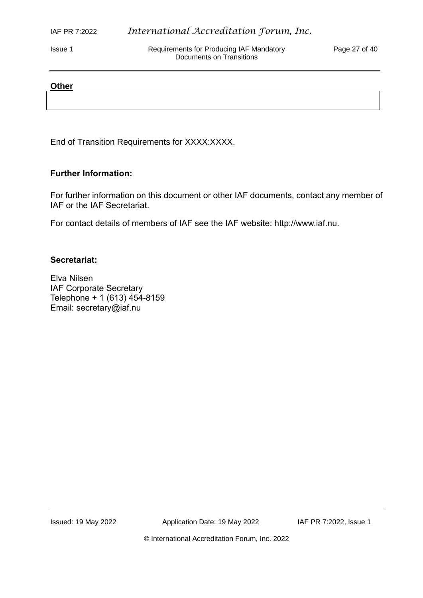Issue 1 Requirements for Producing IAF Mandatory Page 27 of 40 Documents on Transitions

#### **Other**

End of Transition Requirements for XXXX:XXXX.

#### **Further Information:**

For further information on this document or other IAF documents, contact any member of IAF or the IAF Secretariat.

For contact details of members of IAF see the IAF website: http://www.iaf.nu.

#### **Secretariat:**

Elva Nilsen IAF Corporate Secretary Telephone + 1 (613) 454-8159 Email: secretary@iaf.nu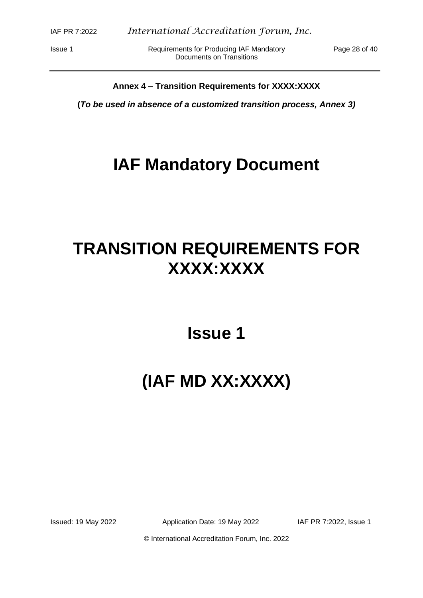Issue 1 **Inc. Accommon Requirements for Producing IAF Mandatory** Page 28 of 40 Documents on Transitions

#### **Annex 4 – Transition Requirements for XXXX:XXXX**

**(***To be used in absence of a customized transition process, Annex 3)*

## **IAF Mandatory Document**

# **TRANSITION REQUIREMENTS FOR XXXX:XXXX**

**Issue 1**

# **(IAF MD XX:XXXX)**

Issued: 19 May 2022 Application Date: 19 May 2022 IAF PR 7:2022, Issue 1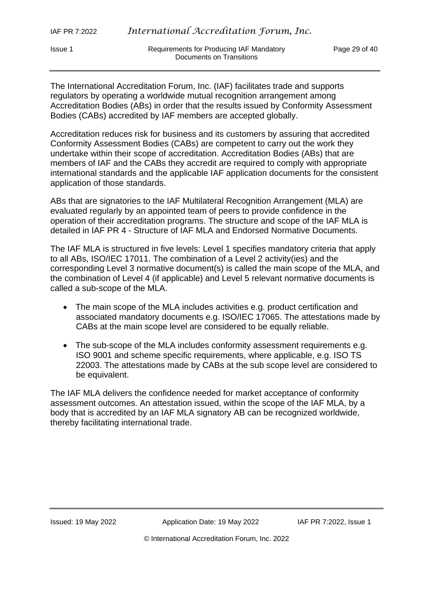Issue 1 Requirements for Producing IAF Mandatory Page 29 of 40 Documents on Transitions

The International Accreditation Forum, Inc. (IAF) facilitates trade and supports regulators by operating a worldwide mutual recognition arrangement among Accreditation Bodies (ABs) in order that the results issued by Conformity Assessment Bodies (CABs) accredited by IAF members are accepted globally.

Accreditation reduces risk for business and its customers by assuring that accredited Conformity Assessment Bodies (CABs) are competent to carry out the work they undertake within their scope of accreditation. Accreditation Bodies (ABs) that are members of IAF and the CABs they accredit are required to comply with appropriate international standards and the applicable IAF application documents for the consistent application of those standards.

ABs that are signatories to the IAF Multilateral Recognition Arrangement (MLA) are evaluated regularly by an appointed team of peers to provide confidence in the operation of their accreditation programs. The structure and scope of the IAF MLA is detailed in IAF PR 4 - Structure of IAF MLA and Endorsed Normative Documents.

The IAF MLA is structured in five levels: Level 1 specifies mandatory criteria that apply to all ABs, ISO/IEC 17011. The combination of a Level 2 activity(ies) and the corresponding Level 3 normative document(s) is called the main scope of the MLA, and the combination of Level 4 (if applicable) and Level 5 relevant normative documents is called a sub-scope of the MLA.

- The main scope of the MLA includes activities e.g. product certification and associated mandatory documents e.g. ISO/IEC 17065. The attestations made by CABs at the main scope level are considered to be equally reliable.
- The sub-scope of the MLA includes conformity assessment requirements e.g. ISO 9001 and scheme specific requirements, where applicable, e.g. ISO TS 22003. The attestations made by CABs at the sub scope level are considered to be equivalent.

The IAF MLA delivers the confidence needed for market acceptance of conformity assessment outcomes. An attestation issued, within the scope of the IAF MLA, by a body that is accredited by an IAF MLA signatory AB can be recognized worldwide, thereby facilitating international trade.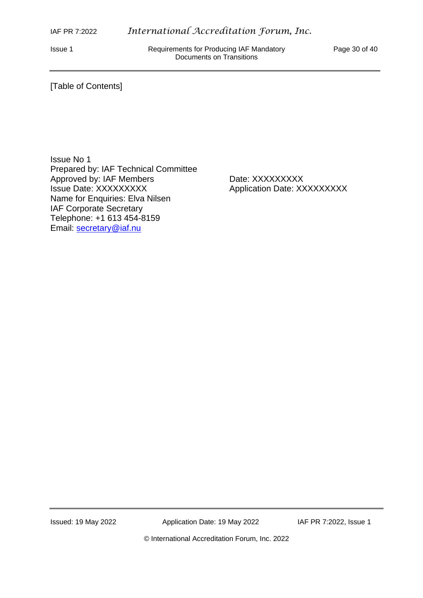Issue 1 **Requirements for Producing IAF Mandatory** Page 30 of 40 Documents on Transitions

#### [Table of Contents]

Issue No 1 Prepared by: IAF Technical Committee Approved by: IAF Members Date: XXXXXXXXX Issue Date: XXXXXXXXX Application Date: XXXXXXXXX Name for Enquiries: Elva Nilsen IAF Corporate Secretary Telephone: +1 613 454-8159 Email: [secretary@iaf.nu](mailto:secretary@iaf.nu)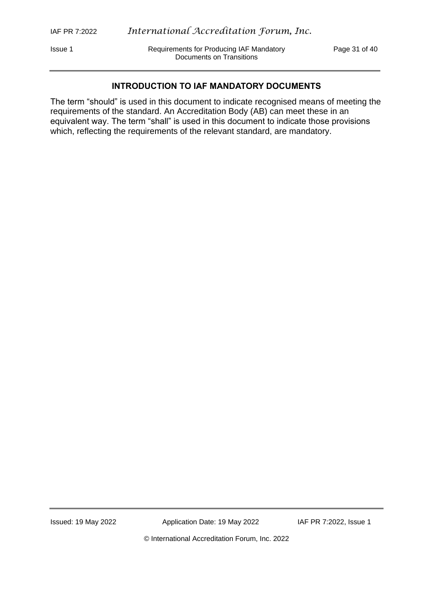Issue 1 Requirements for Producing IAF Mandatory Page 31 of 40 Documents on Transitions

#### **INTRODUCTION TO IAF MANDATORY DOCUMENTS**

The term "should" is used in this document to indicate recognised means of meeting the requirements of the standard. An Accreditation Body (AB) can meet these in an equivalent way. The term "shall" is used in this document to indicate those provisions which, reflecting the requirements of the relevant standard, are mandatory.

Issued: 19 May 2022 Application Date: 19 May 2022 IAF PR 7:2022, Issue 1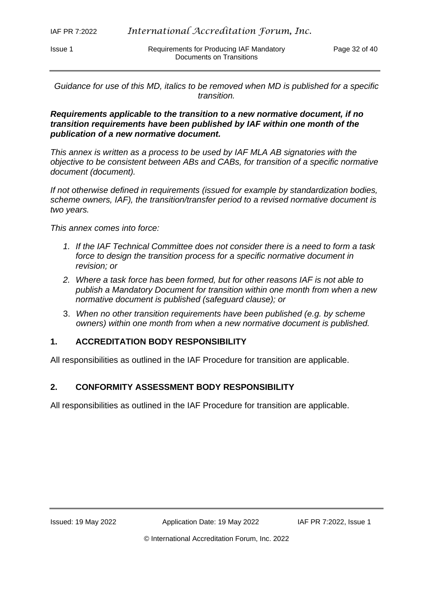*Guidance for use of this MD, italics to be removed when MD is published for a specific transition.*

#### *Requirements applicable to the transition to a new normative document, if no transition requirements have been published by IAF within one month of the publication of a new normative document.*

*This annex is written as a process to be used by IAF MLA AB signatories with the objective to be consistent between ABs and CABs, for transition of a specific normative document (document).*

*If not otherwise defined in requirements (issued for example by standardization bodies, scheme owners, IAF), the transition/transfer period to a revised normative document is two years.* 

*This annex comes into force:*

- *1. If the IAF Technical Committee does not consider there is a need to form a task force to design the transition process for a specific normative document in revision; or*
- *2. Where a task force has been formed, but for other reasons IAF is not able to publish a Mandatory Document for transition within one month from when a new normative document is published (safeguard clause); or*
- 3. *When no other transition requirements have been published (e.g. by scheme owners) within one month from when a new normative document is published.*

## **1. ACCREDITATION BODY RESPONSIBILITY**

All responsibilities as outlined in the IAF Procedure for transition are applicable.

#### **2. CONFORMITY ASSESSMENT BODY RESPONSIBILITY**

All responsibilities as outlined in the IAF Procedure for transition are applicable.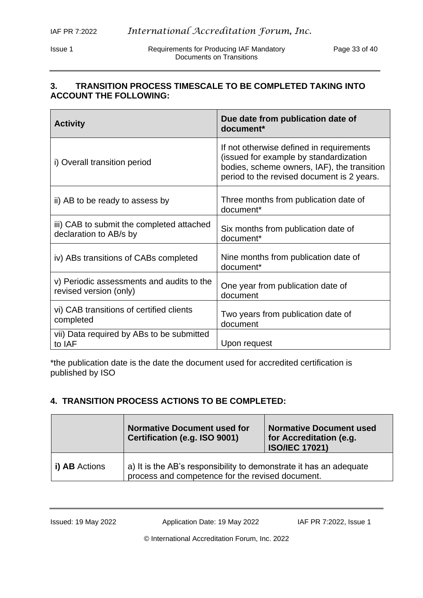Issue 1 **Requirements for Producing IAF Mandatory** Page 33 of 40 Documents on Transitions

## **3. TRANSITION PROCESS TIMESCALE TO BE COMPLETED TAKING INTO ACCOUNT THE FOLLOWING:**

| <b>Activity</b>                                                     | Due date from publication date of<br>document*                                                                                                                                  |
|---------------------------------------------------------------------|---------------------------------------------------------------------------------------------------------------------------------------------------------------------------------|
| i) Overall transition period                                        | If not otherwise defined in requirements<br>(issued for example by standardization<br>bodies, scheme owners, IAF), the transition<br>period to the revised document is 2 years. |
| ii) AB to be ready to assess by                                     | Three months from publication date of<br>document*                                                                                                                              |
| iii) CAB to submit the completed attached<br>declaration to AB/s by | Six months from publication date of<br>document*                                                                                                                                |
| iv) ABs transitions of CABs completed                               | Nine months from publication date of<br>document*                                                                                                                               |
| v) Periodic assessments and audits to the<br>revised version (only) | One year from publication date of<br>document                                                                                                                                   |
| vi) CAB transitions of certified clients<br>completed               | Two years from publication date of<br>document                                                                                                                                  |
| vii) Data required by ABs to be submitted<br>to IAF                 | Upon request                                                                                                                                                                    |

\*the publication date is the date the document used for accredited certification is published by ISO

## **4. TRANSITION PROCESS ACTIONS TO BE COMPLETED:**

|               | <b>Normative Document used for</b><br>Certification (e.g. ISO 9001)                                                    | <b>Normative Document used</b><br>for Accreditation (e.g.<br><b>ISO/IEC 17021)</b> |
|---------------|------------------------------------------------------------------------------------------------------------------------|------------------------------------------------------------------------------------|
| i) AB Actions | a) It is the AB's responsibility to demonstrate it has an adequate<br>process and competence for the revised document. |                                                                                    |

Issued: 19 May 2022 Application Date: 19 May 2022 IAF PR 7:2022, Issue 1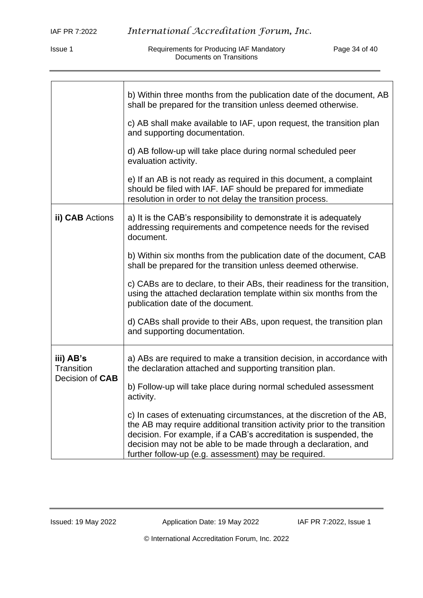Issue 1 **Requirements for Producing IAF Mandatory Page 34 of 40** Documents on Transitions

|                                            | b) Within three months from the publication date of the document, AB<br>shall be prepared for the transition unless deemed otherwise.                                                                                                                                                                                                              |  |  |
|--------------------------------------------|----------------------------------------------------------------------------------------------------------------------------------------------------------------------------------------------------------------------------------------------------------------------------------------------------------------------------------------------------|--|--|
|                                            | c) AB shall make available to IAF, upon request, the transition plan<br>and supporting documentation.                                                                                                                                                                                                                                              |  |  |
|                                            | d) AB follow-up will take place during normal scheduled peer<br>evaluation activity.                                                                                                                                                                                                                                                               |  |  |
|                                            | e) If an AB is not ready as required in this document, a complaint<br>should be filed with IAF. IAF should be prepared for immediate<br>resolution in order to not delay the transition process.                                                                                                                                                   |  |  |
| ii) CAB Actions                            | a) It is the CAB's responsibility to demonstrate it is adequately<br>addressing requirements and competence needs for the revised<br>document.                                                                                                                                                                                                     |  |  |
|                                            | b) Within six months from the publication date of the document, CAB<br>shall be prepared for the transition unless deemed otherwise.                                                                                                                                                                                                               |  |  |
|                                            | c) CABs are to declare, to their ABs, their readiness for the transition,<br>using the attached declaration template within six months from the<br>publication date of the document.                                                                                                                                                               |  |  |
|                                            | d) CABs shall provide to their ABs, upon request, the transition plan<br>and supporting documentation.                                                                                                                                                                                                                                             |  |  |
| iii) AB's<br>Transition<br>Decision of CAB | a) ABs are required to make a transition decision, in accordance with<br>the declaration attached and supporting transition plan.                                                                                                                                                                                                                  |  |  |
|                                            | b) Follow-up will take place during normal scheduled assessment<br>activity.                                                                                                                                                                                                                                                                       |  |  |
|                                            | c) In cases of extenuating circumstances, at the discretion of the AB,<br>the AB may require additional transition activity prior to the transition<br>decision. For example, if a CAB's accreditation is suspended, the<br>decision may not be able to be made through a declaration, and<br>further follow-up (e.g. assessment) may be required. |  |  |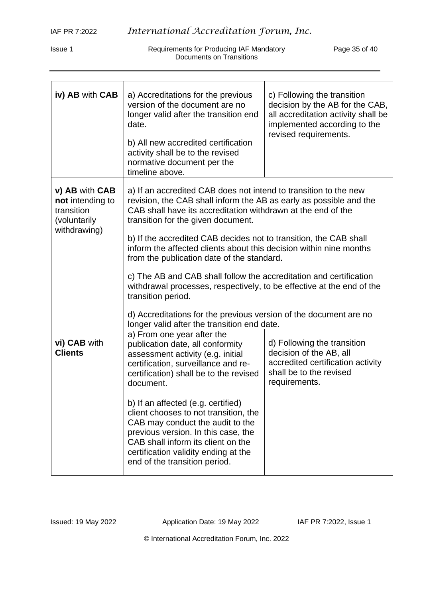Issue 1 **Requirements for Producing IAF Mandatory Page 35 of 40** Documents on Transitions

| iv) AB with CAB                                                                  | a) Accreditations for the previous<br>version of the document are no<br>longer valid after the transition end<br>date.<br>b) All new accredited certification<br>activity shall be to the revised<br>normative document per the<br>timeline above.                                                                                                                                                                                                                                                                                                                                                                                                                              | c) Following the transition<br>decision by the AB for the CAB,<br>all accreditation activity shall be<br>implemented according to the<br>revised requirements. |  |
|----------------------------------------------------------------------------------|---------------------------------------------------------------------------------------------------------------------------------------------------------------------------------------------------------------------------------------------------------------------------------------------------------------------------------------------------------------------------------------------------------------------------------------------------------------------------------------------------------------------------------------------------------------------------------------------------------------------------------------------------------------------------------|----------------------------------------------------------------------------------------------------------------------------------------------------------------|--|
| v) AB with CAB<br>not intending to<br>transition<br>(voluntarily<br>withdrawing) | a) If an accredited CAB does not intend to transition to the new<br>revision, the CAB shall inform the AB as early as possible and the<br>CAB shall have its accreditation withdrawn at the end of the<br>transition for the given document.<br>b) If the accredited CAB decides not to transition, the CAB shall<br>inform the affected clients about this decision within nine months<br>from the publication date of the standard.<br>c) The AB and CAB shall follow the accreditation and certification<br>withdrawal processes, respectively, to be effective at the end of the<br>transition period.<br>d) Accreditations for the previous version of the document are no |                                                                                                                                                                |  |
| vi) CAB with<br><b>Clients</b>                                                   | longer valid after the transition end date.<br>a) From one year after the<br>publication date, all conformity<br>assessment activity (e.g. initial<br>certification, surveillance and re-<br>certification) shall be to the revised<br>document.<br>b) If an affected (e.g. certified)<br>client chooses to not transition, the<br>CAB may conduct the audit to the<br>previous version. In this case, the<br>CAB shall inform its client on the<br>certification validity ending at the<br>end of the transition period.                                                                                                                                                       | d) Following the transition<br>decision of the AB, all<br>accredited certification activity<br>shall be to the revised<br>requirements.                        |  |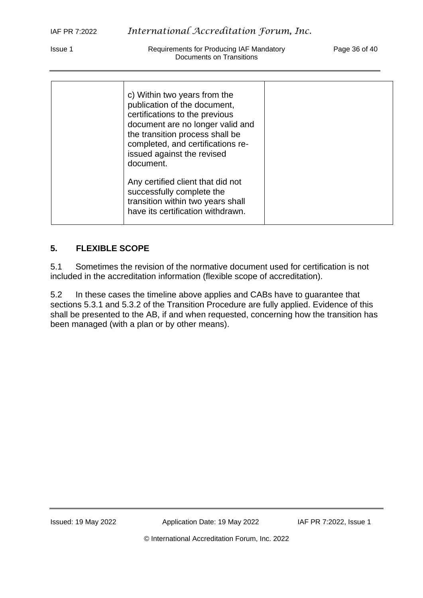Issue 1 Requirements for Producing IAF Mandatory Page 36 of 40 Documents on Transitions

| c) Within two years from the<br>publication of the document,<br>certifications to the previous<br>document are no longer valid and<br>the transition process shall be<br>completed, and certifications re-<br>issued against the revised<br>document. |  |
|-------------------------------------------------------------------------------------------------------------------------------------------------------------------------------------------------------------------------------------------------------|--|
| Any certified client that did not<br>successfully complete the<br>transition within two years shall<br>have its certification withdrawn.                                                                                                              |  |

## **5. FLEXIBLE SCOPE**

5.1 Sometimes the revision of the normative document used for certification is not included in the accreditation information (flexible scope of accreditation).

5.2 In these cases the timeline above applies and CABs have to guarantee that sections 5.3.1 and 5.3.2 of the Transition Procedure are fully applied. Evidence of this shall be presented to the AB, if and when requested, concerning how the transition has been managed (with a plan or by other means).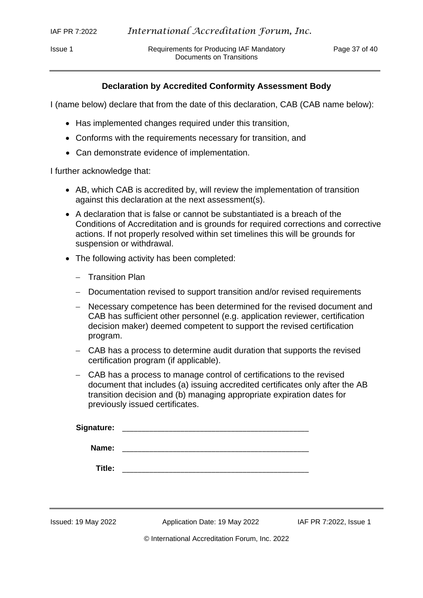Issue 1 **In Requirements for Producing IAF Mandatory** Page 37 of 40 Documents on Transitions

#### **Declaration by Accredited Conformity Assessment Body**

I (name below) declare that from the date of this declaration, CAB (CAB name below):

- Has implemented changes required under this transition,
- Conforms with the requirements necessary for transition, and
- Can demonstrate evidence of implementation.

I further acknowledge that:

- AB, which CAB is accredited by, will review the implementation of transition against this declaration at the next assessment(s).
- A declaration that is false or cannot be substantiated is a breach of the Conditions of Accreditation and is grounds for required corrections and corrective actions. If not properly resolved within set timelines this will be grounds for suspension or withdrawal.
- The following activity has been completed:
	- − Transition Plan
	- − Documentation revised to support transition and/or revised requirements
	- − Necessary competence has been determined for the revised document and CAB has sufficient other personnel (e.g. application reviewer, certification decision maker) deemed competent to support the revised certification program.
	- − CAB has a process to determine audit duration that supports the revised certification program (if applicable).
	- − CAB has a process to manage control of certifications to the revised document that includes (a) issuing accredited certificates only after the AB transition decision and (b) managing appropriate expiration dates for previously issued certificates.

| <b>Signature:</b> |  |
|-------------------|--|
|                   |  |
| Name:             |  |
|                   |  |
| Title:            |  |

Issued: 19 May 2022 Application Date: 19 May 2022 IAF PR 7:2022, Issue 1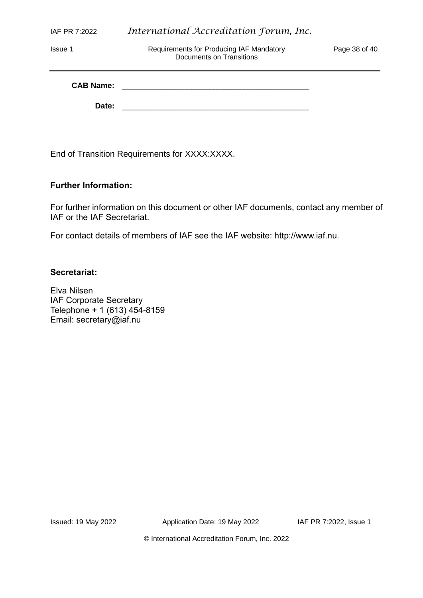|  | IAF PR 7:2022 |  |
|--|---------------|--|
|--|---------------|--|

Issue 1 Requirements for Producing IAF Mandatory Page 38 of 40 Documents on Transitions

| <b>CAB Name:</b> |  |
|------------------|--|
| Date:            |  |

End of Transition Requirements for XXXX:XXXX.

### **Further Information:**

For further information on this document or other IAF documents, contact any member of IAF or the IAF Secretariat.

For contact details of members of IAF see the IAF website: http://www.iaf.nu.

#### **Secretariat:**

Elva Nilsen IAF Corporate Secretary Telephone + 1 (613) 454-8159 Email: secretary@iaf.nu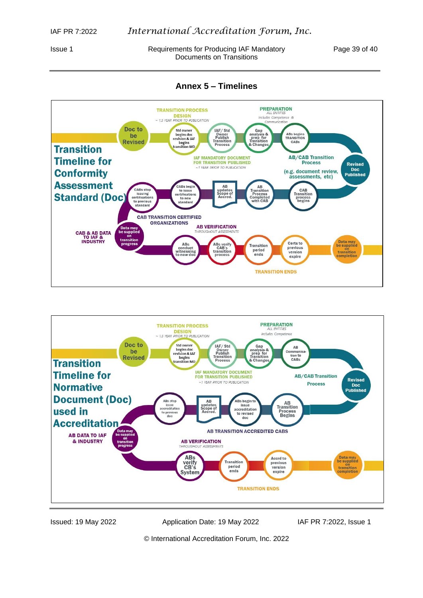Issue 1 **Inc. Accommon Requirements for Producing IAF Mandatory** Page 39 of 40 Documents on Transitions

**Annex 5 – Timelines**





Issued: 19 May 2022 Application Date: 19 May 2022 IAF PR 7:2022, Issue 1